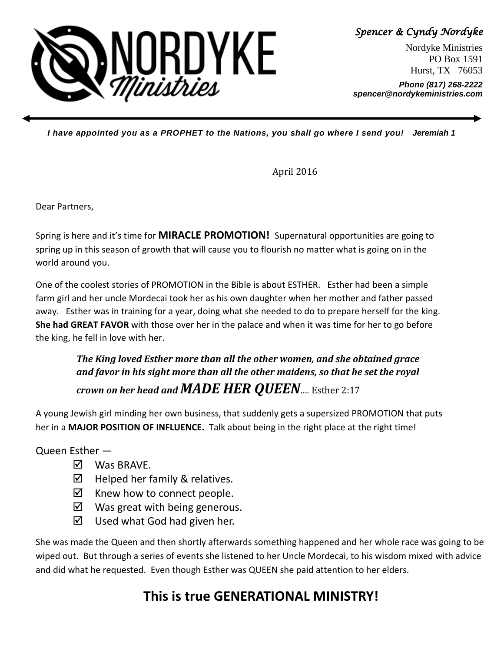

Spencer & Cyndy Nordyke

Nordyke Ministries PO Box 1591 Hurst, TX 76053

**Phone (817) 268-2222 spencer@nordykeministries.com** 

**I have appointed you as a PROPHET to the Nations, you shall go where I send you! Jeremiah 1** 

April 2016

Dear Partners,

Spring is here and it's time for MIRACLE PROMOTION! Supernatural opportunities are going to spring up in this season of growth that will cause you to flourish no matter what is going on in the world around you.

One of the coolest stories of PROMOTION in the Bible is about ESTHER. Esther had been a simple farm girl and her uncle Mordecai took her as his own daughter when her mother and father passed away. Esther was in training for a year, doing what she needed to do to prepare herself for the king. She had GREAT FAVOR with those over her in the palace and when it was time for her to go before the king, he fell in love with her.

The King loved Esther more than all the other women, and she obtained grace and favor in his sight more than all the other maidens, so that he set the royal crown on her head and  $MADE$  HER OUEEN.... Esther 2:17

A young Jewish girl minding her own business, that suddenly gets a supersized PROMOTION that puts her in a MAJOR POSITION OF INFLUENCE. Talk about being in the right place at the right time!

Queen Esther —

- **⊠** Was BRAVE.
- $\boxtimes$  Helped her family & relatives.
- $\boxtimes$  Knew how to connect people.
- $\boxtimes$  Was great with being generous.
- $\boxtimes$  Used what God had given her.

She was made the Queen and then shortly afterwards something happened and her whole race was going to be wiped out. But through a series of events she listened to her Uncle Mordecai, to his wisdom mixed with advice and did what he requested. Even though Esther was QUEEN she paid attention to her elders.

## This is true GENERATIONAL MINISTRY!